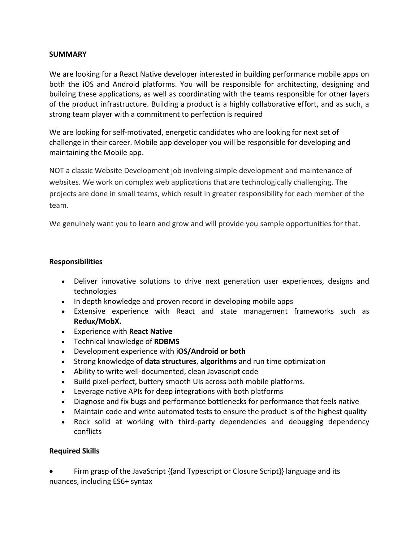## **SUMMARY**

We are looking for a React Native developer interested in building performance mobile apps on both the iOS and Android platforms. You will be responsible for architecting, designing and building these applications, as well as coordinating with the teams responsible for other layers of the product infrastructure. Building a product is a highly collaborative effort, and as such, a strong team player with a commitment to perfection is required

We are looking for self-motivated, energetic candidates who are looking for next set of challenge in their career. Mobile app developer you will be responsible for developing and maintaining the Mobile app.

NOT a classic Website Development job involving simple development and maintenance of websites. We work on complex web applications that are technologically challenging. The projects are done in small teams, which result in greater responsibility for each member of the team.

We genuinely want you to learn and grow and will provide you sample opportunities for that.

## **Responsibilities**

- Deliver innovative solutions to drive next generation user experiences, designs and technologies
- In depth knowledge and proven record in developing mobile apps
- Extensive experience with React and state management frameworks such as **Redux/MobX.**
- Experience with **React Native**
- Technical knowledge of **RDBMS**
- Development experience with i**OS/Android or both**
- Strong knowledge of **data structures**, **algorithms** and run time optimization
- Ability to write well-documented, clean Javascript code
- Build pixel-perfect, buttery smooth UIs across both mobile platforms.
- Leverage native APIs for deep integrations with both platforms
- Diagnose and fix bugs and performance bottlenecks for performance that feels native
- Maintain code and write automated tests to ensure the product is of the highest quality
- Rock solid at working with third-party dependencies and debugging dependency conflicts

## **Required Skills**

 Firm grasp of the JavaScript {{and Typescript or Closure Script}} language and its nuances, including ES6+ syntax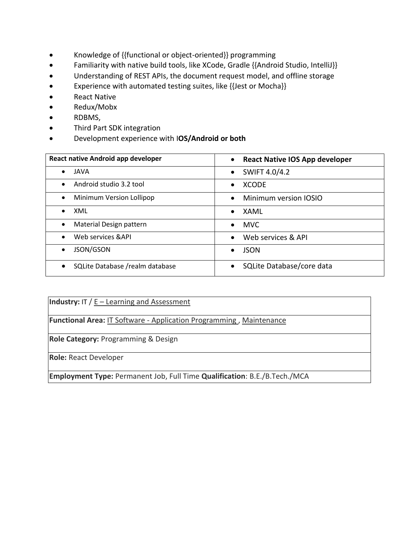- Knowledge of {{functional or object-oriented}} programming
- Familiarity with native build tools, like XCode, Gradle {{Android Studio, IntelliJ}}
- Understanding of REST APIs, the document request model, and offline storage
- Experience with automated testing suites, like {{Jest or Mocha}}
- React Native
- Redux/Mobx
- RDBMS,
- Third Part SDK integration
- Development experience with I**OS/Android or both**

| React native Android app developer | <b>React Native IOS App developer</b><br>$\bullet$ |
|------------------------------------|----------------------------------------------------|
| JAVA                               | SWIFT 4.0/4.2                                      |
| $\bullet$                          | $\bullet$                                          |
| Android studio 3.2 tool            | <b>XCODE</b>                                       |
| $\bullet$                          | $\bullet$                                          |
| Minimum Version Lollipop           | Minimum version IOSIO                              |
| $\bullet$                          | $\bullet$                                          |
| XML                                | XAML                                               |
| $\bullet$                          | $\bullet$                                          |
| Material Design pattern            | <b>MVC</b>                                         |
| $\bullet$                          | $\bullet$                                          |
| Web services & API                 | Web services & API<br>$\bullet$                    |
| JSON/GSON                          | <b>JSON</b>                                        |
| $\bullet$                          | $\bullet$                                          |
| SQLite Database / realm database   | SQLite Database/core data<br>$\bullet$             |

**Industry:** IT / E – [Learning and Assessment](https://www.naukri.com/software-services-jobs)

**Functional Area:** IT Software - [Application Programming ,](https://www.naukri.com/it-software-application-programming-jobs) [Maintenance](https://www.naukri.com/maintenance-jobs)

**Role Category:** Programming & Design

**Role:** React Developer

**Employment Type:** Permanent Job, Full Time **Qualification**: B.E./B.Tech./MCA